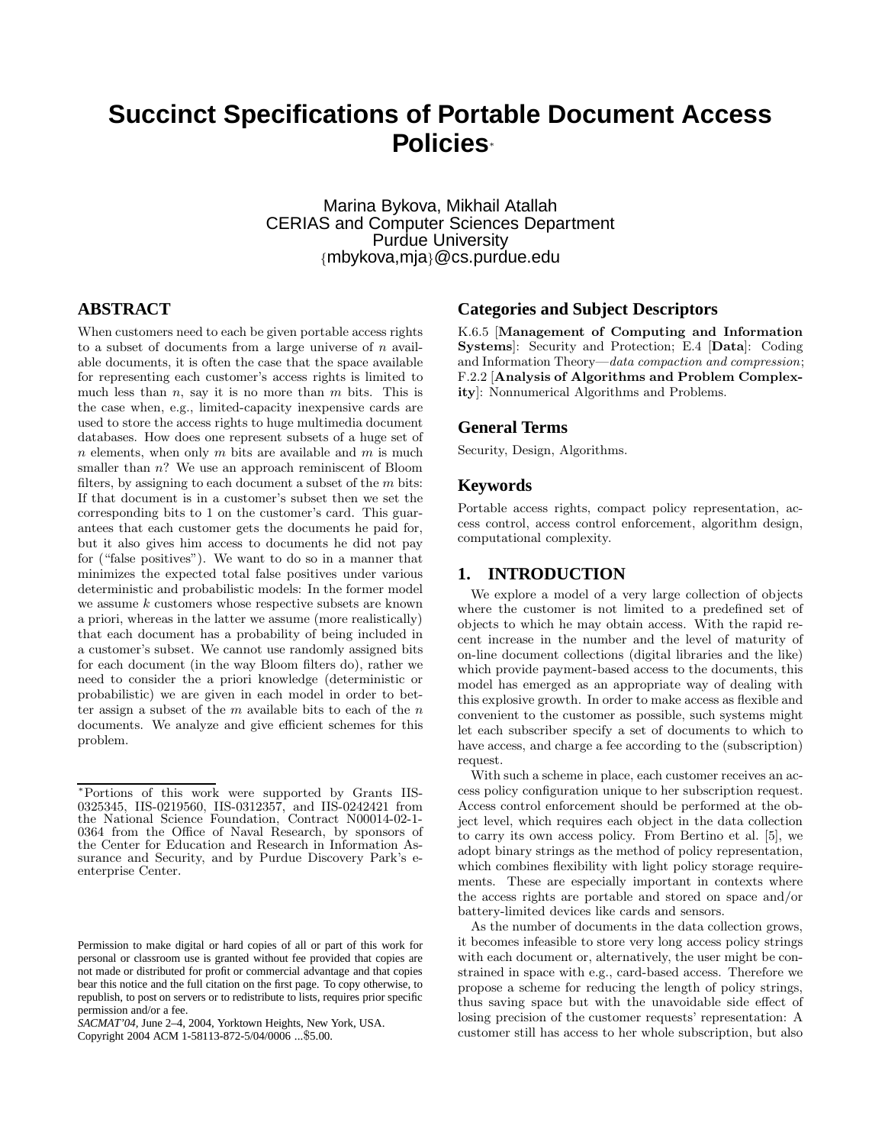# **Succinct Specifications of Portable Document Access Policies**<sup>∗</sup>

Marina Bykova, Mikhail Atallah CERIAS and Computer Sciences Department Purdue University {mbykova,mja}@cs.purdue.edu

# **ABSTRACT**

When customers need to each be given portable access rights to a subset of documents from a large universe of  $n$  available documents, it is often the case that the space available for representing each customer's access rights is limited to much less than  $n$ , say it is no more than  $m$  bits. This is the case when, e.g., limited-capacity inexpensive cards are used to store the access rights to huge multimedia document databases. How does one represent subsets of a huge set of  $n$  elements, when only  $m$  bits are available and  $m$  is much smaller than  $n$ ? We use an approach reminiscent of Bloom filters, by assigning to each document a subset of the  $m$  bits: If that document is in a customer's subset then we set the corresponding bits to 1 on the customer's card. This guarantees that each customer gets the documents he paid for, but it also gives him access to documents he did not pay for ("false positives"). We want to do so in a manner that minimizes the expected total false positives under various deterministic and probabilistic models: In the former model we assume  $k$  customers whose respective subsets are known a priori, whereas in the latter we assume (more realistically) that each document has a probability of being included in a customer's subset. We cannot use randomly assigned bits for each document (in the way Bloom filters do), rather we need to consider the a priori knowledge (deterministic or probabilistic) we are given in each model in order to better assign a subset of the  $m$  available bits to each of the  $n$ documents. We analyze and give efficient schemes for this problem.

## **Categories and Subject Descriptors**

K.6.5 [Management of Computing and Information Systems]: Security and Protection; E.4 [Data]: Coding and Information Theory—data compaction and compression; F.2.2 [Analysis of Algorithms and Problem Complexity]: Nonnumerical Algorithms and Problems.

### **General Terms**

Security, Design, Algorithms.

#### **Keywords**

Portable access rights, compact policy representation, access control, access control enforcement, algorithm design, computational complexity.

#### **1. INTRODUCTION**

We explore a model of a very large collection of objects where the customer is not limited to a predefined set of objects to which he may obtain access. With the rapid recent increase in the number and the level of maturity of on-line document collections (digital libraries and the like) which provide payment-based access to the documents, this model has emerged as an appropriate way of dealing with this explosive growth. In order to make access as flexible and convenient to the customer as possible, such systems might let each subscriber specify a set of documents to which to have access, and charge a fee according to the (subscription) request.

With such a scheme in place, each customer receives an access policy configuration unique to her subscription request. Access control enforcement should be performed at the object level, which requires each object in the data collection to carry its own access policy. From Bertino et al. [5], we adopt binary strings as the method of policy representation, which combines flexibility with light policy storage requirements. These are especially important in contexts where the access rights are portable and stored on space and/or battery-limited devices like cards and sensors.

As the number of documents in the data collection grows, it becomes infeasible to store very long access policy strings with each document or, alternatively, the user might be constrained in space with e.g., card-based access. Therefore we propose a scheme for reducing the length of policy strings, thus saving space but with the unavoidable side effect of losing precision of the customer requests' representation: A customer still has access to her whole subscription, but also

<sup>∗</sup>Portions of this work were supported by Grants IIS-0325345, IIS-0219560, IIS-0312357, and IIS-0242421 from the National Science Foundation, Contract N00014-02-1- 0364 from the Office of Naval Research, by sponsors of the Center for Education and Research in Information Assurance and Security, and by Purdue Discovery Park's eenterprise Center.

Permission to make digital or hard copies of all or part of this work for personal or classroom use is granted without fee provided that copies are not made or distributed for profit or commercial advantage and that copies bear this notice and the full citation on the first page. To copy otherwise, to republish, to post on servers or to redistribute to lists, requires prior specific permission and/or a fee.

*SACMAT'04,* June 2–4, 2004, Yorktown Heights, New York, USA.

Copyright 2004 ACM 1-58113-872-5/04/0006 ...\$5.00.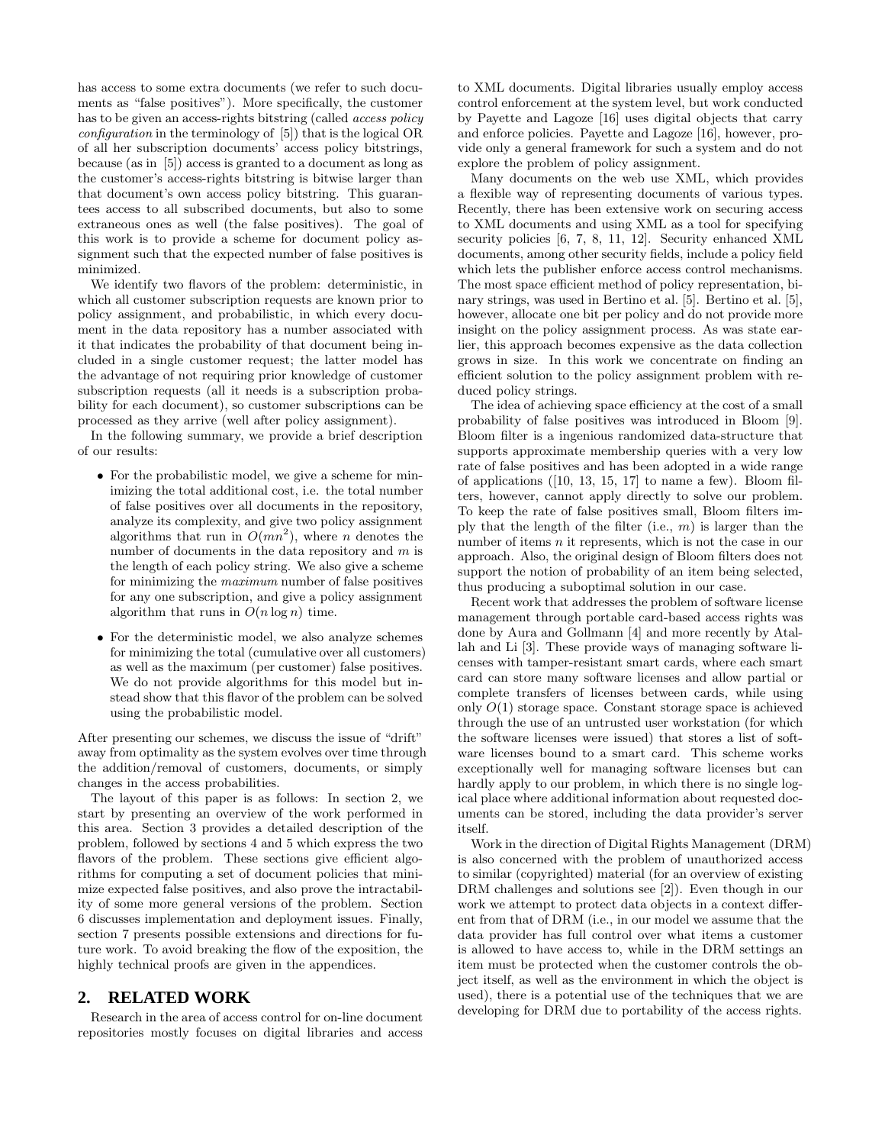has access to some extra documents (we refer to such documents as "false positives"). More specifically, the customer has to be given an access-rights bitstring (called access policy configuration in the terminology of [5]) that is the logical OR of all her subscription documents' access policy bitstrings, because (as in [5]) access is granted to a document as long as the customer's access-rights bitstring is bitwise larger than that document's own access policy bitstring. This guarantees access to all subscribed documents, but also to some extraneous ones as well (the false positives). The goal of this work is to provide a scheme for document policy assignment such that the expected number of false positives is minimized.

We identify two flavors of the problem: deterministic, in which all customer subscription requests are known prior to policy assignment, and probabilistic, in which every document in the data repository has a number associated with it that indicates the probability of that document being included in a single customer request; the latter model has the advantage of not requiring prior knowledge of customer subscription requests (all it needs is a subscription probability for each document), so customer subscriptions can be processed as they arrive (well after policy assignment).

In the following summary, we provide a brief description of our results:

- For the probabilistic model, we give a scheme for minimizing the total additional cost, i.e. the total number of false positives over all documents in the repository, analyze its complexity, and give two policy assignment algorithms that run in  $O(mn^2)$ , where *n* denotes the number of documents in the data repository and  $m$  is the length of each policy string. We also give a scheme for minimizing the maximum number of false positives for any one subscription, and give a policy assignment algorithm that runs in  $O(n \log n)$  time.
- For the deterministic model, we also analyze schemes for minimizing the total (cumulative over all customers) as well as the maximum (per customer) false positives. We do not provide algorithms for this model but instead show that this flavor of the problem can be solved using the probabilistic model.

After presenting our schemes, we discuss the issue of "drift" away from optimality as the system evolves over time through the addition/removal of customers, documents, or simply changes in the access probabilities.

The layout of this paper is as follows: In section 2, we start by presenting an overview of the work performed in this area. Section 3 provides a detailed description of the problem, followed by sections 4 and 5 which express the two flavors of the problem. These sections give efficient algorithms for computing a set of document policies that minimize expected false positives, and also prove the intractability of some more general versions of the problem. Section 6 discusses implementation and deployment issues. Finally, section 7 presents possible extensions and directions for future work. To avoid breaking the flow of the exposition, the highly technical proofs are given in the appendices.

#### **2. RELATED WORK**

Research in the area of access control for on-line document repositories mostly focuses on digital libraries and access to XML documents. Digital libraries usually employ access control enforcement at the system level, but work conducted by Payette and Lagoze [16] uses digital objects that carry and enforce policies. Payette and Lagoze [16], however, provide only a general framework for such a system and do not explore the problem of policy assignment.

Many documents on the web use XML, which provides a flexible way of representing documents of various types. Recently, there has been extensive work on securing access to XML documents and using XML as a tool for specifying security policies [6, 7, 8, 11, 12]. Security enhanced XML documents, among other security fields, include a policy field which lets the publisher enforce access control mechanisms. The most space efficient method of policy representation, binary strings, was used in Bertino et al. [5]. Bertino et al. [5], however, allocate one bit per policy and do not provide more insight on the policy assignment process. As was state earlier, this approach becomes expensive as the data collection grows in size. In this work we concentrate on finding an efficient solution to the policy assignment problem with reduced policy strings.

The idea of achieving space efficiency at the cost of a small probability of false positives was introduced in Bloom [9]. Bloom filter is a ingenious randomized data-structure that supports approximate membership queries with a very low rate of false positives and has been adopted in a wide range of applications  $(10, 13, 15, 17]$  to name a few). Bloom filters, however, cannot apply directly to solve our problem. To keep the rate of false positives small, Bloom filters imply that the length of the filter (i.e.,  $m$ ) is larger than the number of items  $n$  it represents, which is not the case in our approach. Also, the original design of Bloom filters does not support the notion of probability of an item being selected, thus producing a suboptimal solution in our case.

Recent work that addresses the problem of software license management through portable card-based access rights was done by Aura and Gollmann [4] and more recently by Atallah and Li [3]. These provide ways of managing software licenses with tamper-resistant smart cards, where each smart card can store many software licenses and allow partial or complete transfers of licenses between cards, while using only  $O(1)$  storage space. Constant storage space is achieved through the use of an untrusted user workstation (for which the software licenses were issued) that stores a list of software licenses bound to a smart card. This scheme works exceptionally well for managing software licenses but can hardly apply to our problem, in which there is no single logical place where additional information about requested documents can be stored, including the data provider's server itself.

Work in the direction of Digital Rights Management (DRM) is also concerned with the problem of unauthorized access to similar (copyrighted) material (for an overview of existing DRM challenges and solutions see [2]). Even though in our work we attempt to protect data objects in a context different from that of DRM (i.e., in our model we assume that the data provider has full control over what items a customer is allowed to have access to, while in the DRM settings an item must be protected when the customer controls the object itself, as well as the environment in which the object is used), there is a potential use of the techniques that we are developing for DRM due to portability of the access rights.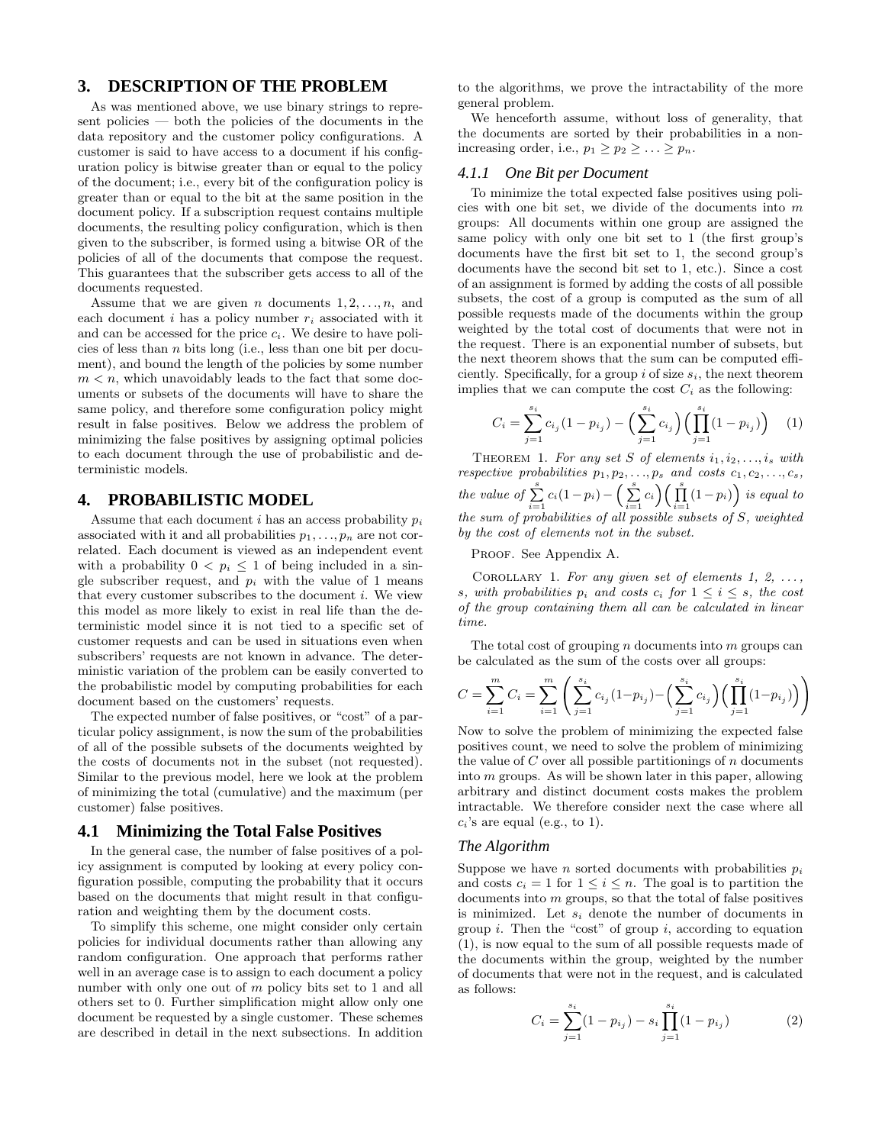## **3. DESCRIPTION OF THE PROBLEM**

As was mentioned above, we use binary strings to represent policies — both the policies of the documents in the data repository and the customer policy configurations. A customer is said to have access to a document if his configuration policy is bitwise greater than or equal to the policy of the document; i.e., every bit of the configuration policy is greater than or equal to the bit at the same position in the document policy. If a subscription request contains multiple documents, the resulting policy configuration, which is then given to the subscriber, is formed using a bitwise OR of the policies of all of the documents that compose the request. This guarantees that the subscriber gets access to all of the documents requested.

Assume that we are given *n* documents  $1, 2, \ldots, n$ , and each document  $i$  has a policy number  $r_i$  associated with it and can be accessed for the price  $c_i$ . We desire to have policies of less than n bits long (i.e., less than one bit per document), and bound the length of the policies by some number  $m < n$ , which unavoidably leads to the fact that some documents or subsets of the documents will have to share the same policy, and therefore some configuration policy might result in false positives. Below we address the problem of minimizing the false positives by assigning optimal policies to each document through the use of probabilistic and deterministic models.

## **4. PROBABILISTIC MODEL**

Assume that each document i has an access probability  $p_i$ associated with it and all probabilities  $p_1, \ldots, p_n$  are not correlated. Each document is viewed as an independent event with a probability  $0 < p_i \leq 1$  of being included in a single subscriber request, and  $p_i$  with the value of 1 means that every customer subscribes to the document  $i$ . We view this model as more likely to exist in real life than the deterministic model since it is not tied to a specific set of customer requests and can be used in situations even when subscribers' requests are not known in advance. The deterministic variation of the problem can be easily converted to the probabilistic model by computing probabilities for each document based on the customers' requests.

The expected number of false positives, or "cost" of a particular policy assignment, is now the sum of the probabilities of all of the possible subsets of the documents weighted by the costs of documents not in the subset (not requested). Similar to the previous model, here we look at the problem of minimizing the total (cumulative) and the maximum (per customer) false positives.

#### **4.1 Minimizing the Total False Positives**

In the general case, the number of false positives of a policy assignment is computed by looking at every policy configuration possible, computing the probability that it occurs based on the documents that might result in that configuration and weighting them by the document costs.

To simplify this scheme, one might consider only certain policies for individual documents rather than allowing any random configuration. One approach that performs rather well in an average case is to assign to each document a policy number with only one out of m policy bits set to 1 and all others set to 0. Further simplification might allow only one document be requested by a single customer. These schemes are described in detail in the next subsections. In addition to the algorithms, we prove the intractability of the more general problem.

We henceforth assume, without loss of generality, that the documents are sorted by their probabilities in a nonincreasing order, i.e.,  $p_1 \geq p_2 \geq \ldots \geq p_n$ .

#### *4.1.1 One Bit per Document*

To minimize the total expected false positives using policies with one bit set, we divide of the documents into  $m$ groups: All documents within one group are assigned the same policy with only one bit set to 1 (the first group's documents have the first bit set to 1, the second group's documents have the second bit set to 1, etc.). Since a cost of an assignment is formed by adding the costs of all possible subsets, the cost of a group is computed as the sum of all possible requests made of the documents within the group weighted by the total cost of documents that were not in the request. There is an exponential number of subsets, but the next theorem shows that the sum can be computed efficiently. Specifically, for a group i of size  $s_i$ , the next theorem implies that we can compute the cost  $C_i$  as the following:

$$
C_i = \sum_{j=1}^{s_i} c_{i_j} (1 - p_{i_j}) - \left(\sum_{j=1}^{s_i} c_{i_j}\right) \left(\prod_{j=1}^{s_i} (1 - p_{i_j})\right) \tag{1}
$$

THEOREM 1. For any set S of elements  $i_1, i_2, \ldots, i_s$  with respective probabilities  $p_1, p_2, \ldots, p_s$  and costs  $c_1, c_2, \ldots, c_s$ , the value of  $\sum_{i=1}^{s} c_i(1-p_i) - \left(\sum_{i=1}^{s} c_i\right) \left(\prod_{i=1}^{s} (1-p_i)\right)$  is equal to the sum of probabilities of all possible subsets of S, weighted by the cost of elements not in the subset.

PROOF. See Appendix A.

COROLLARY 1. For any given set of elements 1, 2,  $\dots$ , s, with probabilities  $p_i$  and costs  $c_i$  for  $1 \leq i \leq s$ , the cost of the group containing them all can be calculated in linear time.

The total cost of grouping  $n$  documents into  $m$  groups can be calculated as the sum of the costs over all groups:

$$
C = \sum_{i=1}^{m} C_i = \sum_{i=1}^{m} \left( \sum_{j=1}^{s_i} c_{i_j} (1 - p_{i_j}) - \left( \sum_{j=1}^{s_i} c_{i_j} \right) \left( \prod_{j=1}^{s_i} (1 - p_{i_j}) \right) \right)
$$

Now to solve the problem of minimizing the expected false positives count, we need to solve the problem of minimizing the value of  $C$  over all possible partitionings of  $n$  documents into m groups. As will be shown later in this paper, allowing arbitrary and distinct document costs makes the problem intractable. We therefore consider next the case where all  $c_i$ 's are equal (e.g., to 1).

#### *The Algorithm*

Suppose we have *n* sorted documents with probabilities  $p_i$ and costs  $c_i = 1$  for  $1 \leq i \leq n$ . The goal is to partition the  $d$  documents into  $m$  groups, so that the total of false positives is minimized. Let  $s_i$  denote the number of documents in group *i*. Then the "cost" of group *i*, according to equation (1), is now equal to the sum of all possible requests made of the documents within the group, weighted by the number of documents that were not in the request, and is calculated as follows:

$$
C_i = \sum_{j=1}^{s_i} (1 - p_{i_j}) - s_i \prod_{j=1}^{s_i} (1 - p_{i_j})
$$
 (2)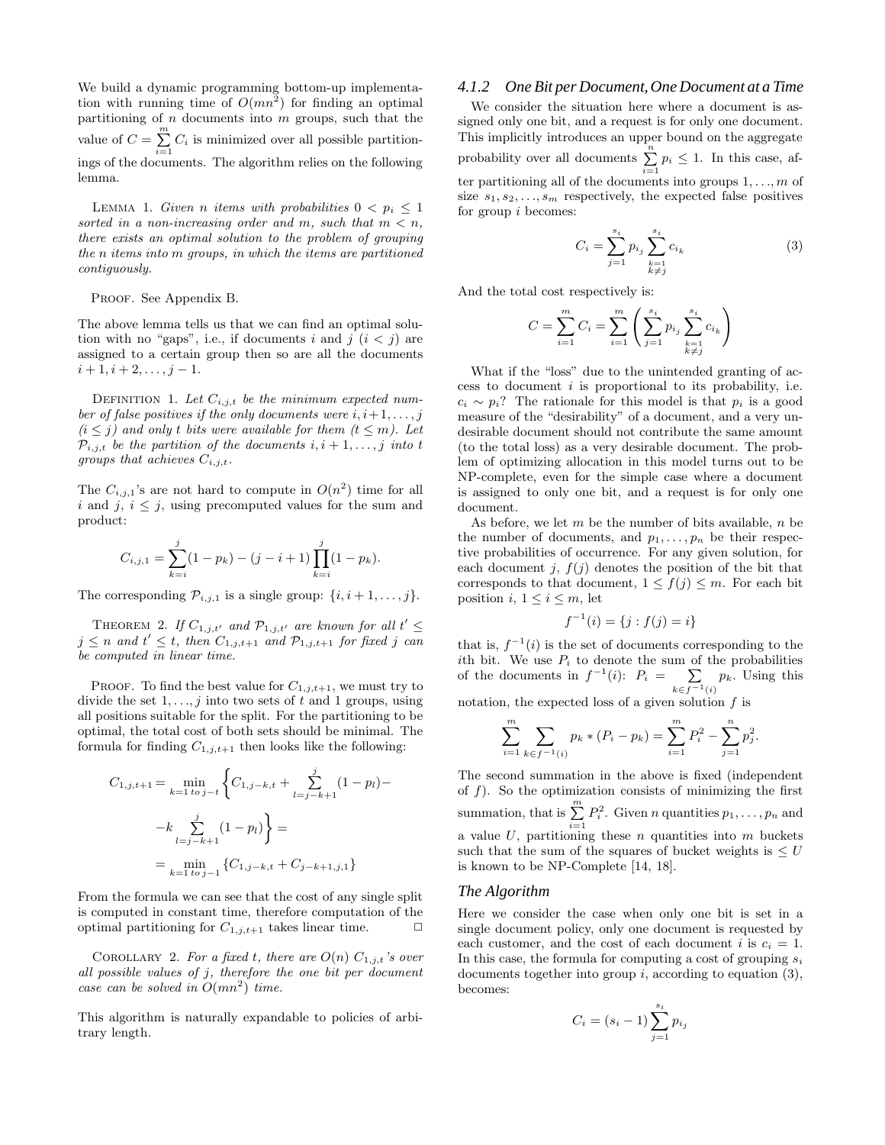We build a dynamic programming bottom-up implementation with running time of  $O(mn^2)$  for finding an optimal partitioning of  $n$  documents into  $m$  groups, such that the value of  $C = \sum_{i=1}^{m} C_i$  is minimized over all possible partitionings of the documents. The algorithm relies on the following lemma.

LEMMA 1. Given n items with probabilities  $0 < p_i \leq 1$ sorted in a non-increasing order and m, such that  $m < n$ , there exists an optimal solution to the problem of grouping the n items into m groups, in which the items are partitioned contiguously.

PROOF. See Appendix B.

The above lemma tells us that we can find an optimal solution with no "gaps", i.e., if documents i and  $j$   $(i < j)$  are assigned to a certain group then so are all the documents  $i+1, i+2, \ldots, j-1.$ 

DEFINITION 1. Let  $C_{i,j,t}$  be the minimum expected number of false positives if the only documents were  $i, i+1, \ldots, j$  $(i \leq j)$  and only t bits were available for them  $(t \leq m)$ . Let  $\mathcal{P}_{i,j,t}$  be the partition of the documents  $i, i+1, \ldots, j$  into t groups that achieves  $C_{i,j,t}$ .

The  $C_{i,j,1}$ 's are not hard to compute in  $O(n^2)$  time for all i and j,  $i \leq j$ , using precomputed values for the sum and product:

$$
C_{i,j,1} = \sum_{k=i}^{j} (1 - p_k) - (j - i + 1) \prod_{k=i}^{j} (1 - p_k).
$$

The corresponding  $\mathcal{P}_{i,j,1}$  is a single group:  $\{i, i+1, \ldots, j\}$ .

THEOREM 2. If  $C_{1,j,t'}$  and  $\mathcal{P}_{1,j,t'}$  are known for all  $t' \leq$  $j \leq n$  and  $t' \leq t$ , then  $C_{1,j,t+1}$  and  $\mathcal{P}_{1,j,t+1}$  for fixed j can be computed in linear time.

PROOF. To find the best value for  $C_{1,j,t+1}$ , we must try to divide the set  $1, \ldots, j$  into two sets of t and 1 groups, using all positions suitable for the split. For the partitioning to be optimal, the total cost of both sets should be minimal. The formula for finding  $C_{1,j,t+1}$  then looks like the following:

$$
C_{1,j,t+1} = \min_{k=1 \text{ to } j-t} \left\{ C_{1,j-k,t} + \sum_{l=j-k+1}^{j} (1 - p_l) - \right.
$$

$$
-k \sum_{l=j-k+1}^{j} (1 - p_l) \right\} =
$$

$$
= \min_{k=1 \text{ to } j-1} \left\{ C_{1,j-k,t} + C_{j-k+1,j,1} \right\}
$$

From the formula we can see that the cost of any single split is computed in constant time, therefore computation of the optimal partitioning for  $C_{1,j,t+1}$  takes linear time.

COROLLARY 2. For a fixed t, there are  $O(n)$   $C_{1,j,t}$ 's over all possible values of j, therefore the one bit per document case can be solved in  $O(mn^2)$  time.

This algorithm is naturally expandable to policies of arbitrary length.

#### *4.1.2 One Bit per Document,One Document at a Time*

We consider the situation here where a document is assigned only one bit, and a request is for only one document. This implicitly introduces an upper bound on the aggregate probability over all documents  $\sum_{i=1}^{n} p_i \leq 1$ . In this case, after partitioning all of the documents into groups  $1, \ldots, m$  of size  $s_1, s_2, \ldots, s_m$  respectively, the expected false positives for group  $i$  becomes:  $% \left\vert \cdot \right\rangle$ 

$$
C_i = \sum_{j=1}^{s_i} p_{i_j} \sum_{\substack{k=1 \ k \neq j}}^{s_i} c_{i_k}
$$
 (3)

And the total cost respectively is:

$$
C = \sum_{i=1}^{m} C_i = \sum_{i=1}^{m} \left( \sum_{j=1}^{s_i} p_{i_j} \sum_{\substack{k=1 \ k \neq j}}^{s_i} c_{i_k} \right)
$$

What if the "loss" due to the unintended granting of access to document  $i$  is proportional to its probability, i.e.  $c_i \sim p_i$ ? The rationale for this model is that  $p_i$  is a good measure of the "desirability" of a document, and a very undesirable document should not contribute the same amount (to the total loss) as a very desirable document. The problem of optimizing allocation in this model turns out to be NP-complete, even for the simple case where a document is assigned to only one bit, and a request is for only one document.

As before, we let  $m$  be the number of bits available,  $n$  be the number of documents, and  $p_1, \ldots, p_n$  be their respective probabilities of occurrence. For any given solution, for each document j,  $f(j)$  denotes the position of the bit that corresponds to that document,  $1 \leq f(j) \leq m$ . For each bit position  $i, 1 \leq i \leq m$ , let

$$
f^{-1}(i) = \{j : f(j) = i\}
$$

that is,  $f^{-1}(i)$  is the set of documents corresponding to the ith bit. We use  $P_i$  to denote the sum of the probabilities of the documents in  $f^{-1}(i)$ :  $P_i = \sum_{k \in f^{-1}(i)} p_k$ . Using this

notation, the expected loss of a given solution  $f$  is

$$
\sum_{i=1}^{m} \sum_{k \in f^{-1}(i)} p_k * (P_i - p_k) = \sum_{i=1}^{m} P_i^2 - \sum_{j=1}^{n} p_j^2.
$$

The second summation in the above is fixed (independent of  $f$ ). So the optimization consists of minimizing the first summation, that is  $\sum_{i=1}^{m} P_i^2$ . Given n quantities  $p_1, \ldots, p_n$  and a value  $U$ , partitioning these  $n$  quantities into  $m$  buckets such that the sum of the squares of bucket weights is  $\leq U$ is known to be NP-Complete [14, 18].

#### *The Algorithm*

Here we consider the case when only one bit is set in a single document policy, only one document is requested by each customer, and the cost of each document i is  $c_i = 1$ . In this case, the formula for computing a cost of grouping  $s_i$ documents together into group  $i$ , according to equation  $(3)$ , becomes:

$$
C_i = (s_i - 1) \sum_{j=1}^{s_i} p_{i_j}
$$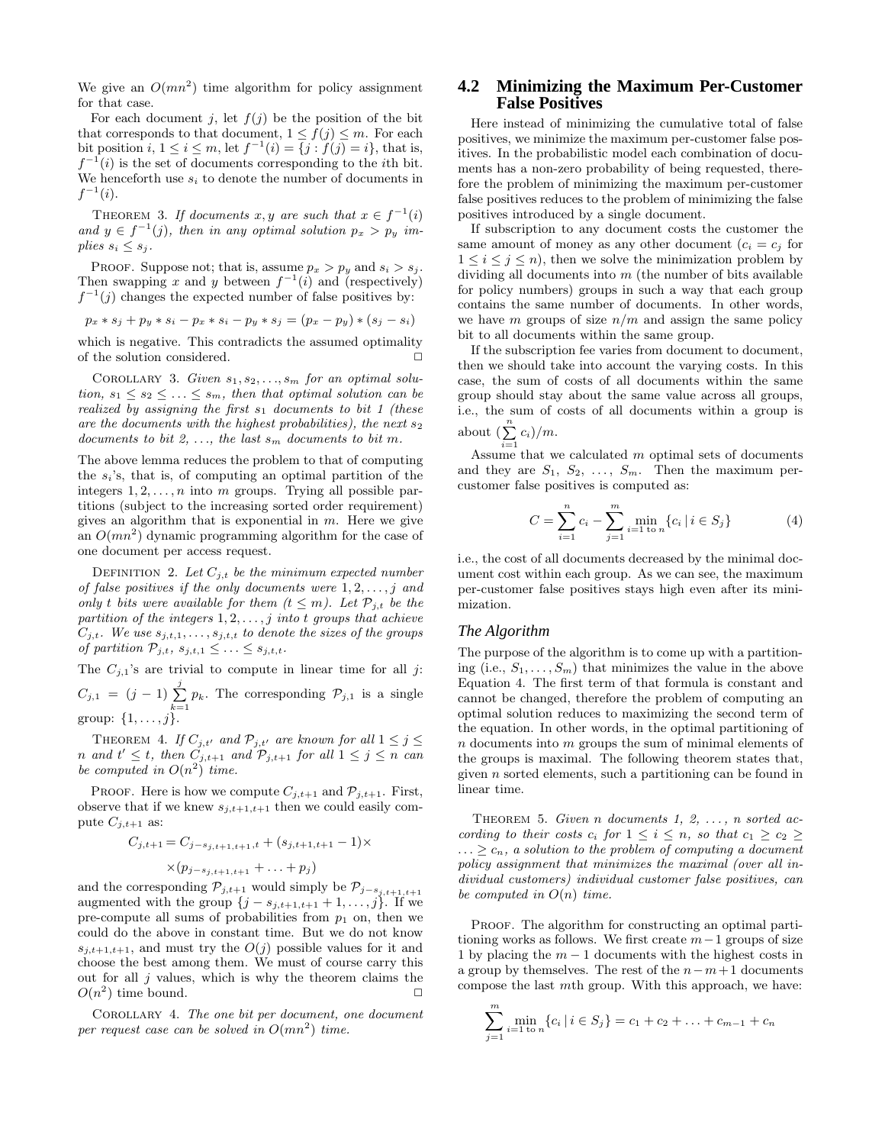We give an  $O(mn^2)$  time algorithm for policy assignment for that case.

For each document j, let  $f(j)$  be the position of the bit that corresponds to that document,  $1 \leq f(j) \leq m$ . For each bit position  $i, 1 \le i \le m$ , let  $f^{-1}(i) = \{j : f(j) = i\}$ , that is,  $f^{-1}(i)$  is the set of documents corresponding to the *i*th bit. We henceforth use  $s_i$  to denote the number of documents in  $f^{-1}(i)$ .

THEOREM 3. If documents x, y are such that  $x \in f^{-1}(i)$ and  $y \in f^{-1}(j)$ , then in any optimal solution  $p_x > p_y$  implies  $s_i \leq s_j$ .

PROOF. Suppose not; that is, assume  $p_x > p_y$  and  $s_i > s_j$ . Then swapping x and y between  $f^{-1}(i)$  and (respectively)  $f^{-1}(j)$  changes the expected number of false positives by:

$$
p_x * s_j + p_y * s_i - p_x * s_i - p_y * s_j = (p_x - p_y) * (s_j - s_i)
$$

which is negative. This contradicts the assumed optimality of the solution considered.  $\hfill \Box$ 

COROLLARY 3. Given  $s_1, s_2, \ldots, s_m$  for an optimal solution,  $s_1 \leq s_2 \leq \ldots \leq s_m$ , then that optimal solution can be realized by assigning the first  $s_1$  documents to bit 1 (these are the documents with the highest probabilities), the next  $s_2$ documents to bit 2, ..., the last  $s_m$  documents to bit m.

The above lemma reduces the problem to that of computing the  $s_i$ 's, that is, of computing an optimal partition of the integers  $1, 2, \ldots, n$  into m groups. Trying all possible partitions (subject to the increasing sorted order requirement) gives an algorithm that is exponential in  $m$ . Here we give an  $O(mn^2)$  dynamic programming algorithm for the case of one document per access request.

DEFINITION 2. Let  $C_{j,t}$  be the minimum expected number of false positives if the only documents were  $1, 2, \ldots, j$  and only t bits were available for them  $(t \leq m)$ . Let  $\mathcal{P}_{i,t}$  be the partition of the integers  $1, 2, \ldots, j$  into t groups that achieve  $C_{j,t}$ . We use  $s_{j,t,1}, \ldots, s_{j,t,t}$  to denote the sizes of the groups of partition  $\mathcal{P}_{j,t}$ ,  $s_{j,t,1} \leq \ldots \leq s_{j,t,t}$ .

The  $C_{j,1}$ 's are trivial to compute in linear time for all j:  $C_{j,1} = (j-1) \sum_{k=1}^{j} p_k$ . The correspon  $\sum_{k=1}^n p_k$ . The corresponding  $\mathcal{P}_{j,1}$  is a single group:  $\{1, \ldots, j\}$ .

THEOREM 4. If  $C_{j,t'}$  and  $\mathcal{P}_{j,t'}$  are known for all  $1 \leq j \leq$ n and  $t' \leq t$ , then  $C_{j,t+1}$  and  $\mathcal{P}_{j,t+1}$  for all  $1 \leq j \leq n$  can be computed in  $O(n^2)$  time.

PROOF. Here is how we compute  $C_{j,t+1}$  and  $\mathcal{P}_{j,t+1}$ . First, observe that if we knew  $s_{j,t+1,t+1}$  then we could easily compute  $C_{j,t+1}$  as:

$$
C_{j,t+1} = C_{j-s_{j,t+1,t+1},t} + (s_{j,t+1,t+1} - 1) \times
$$

$$
\times (p_{j-s_{j,t+1,t+1}} + \ldots + p_j)
$$

and the corresponding  $\mathcal{P}_{j,t+1}$  would simply be  $\mathcal{P}_{j-s_{j,t+1,t+1}}$ augmented with the group  $\{j - s_{j,t+1,t+1} + 1, \ldots, j\}$ . If we pre-compute all sums of probabilities from  $p_1$  on, then we could do the above in constant time. But we do not know  $s_{i,t+1,t+1}$ , and must try the  $O(j)$  possible values for it and choose the best among them. We must of course carry this out for all  $j$  values, which is why the theorem claims the  $O(n^2)$  time bound.  $\square$ 

Corollary 4. The one bit per document, one document per request case can be solved in  $O(mn^2)$  time.

#### **4.2 Minimizing the Maximum Per-Customer False Positives**

Here instead of minimizing the cumulative total of false positives, we minimize the maximum per-customer false positives. In the probabilistic model each combination of documents has a non-zero probability of being requested, therefore the problem of minimizing the maximum per-customer false positives reduces to the problem of minimizing the false positives introduced by a single document.

If subscription to any document costs the customer the same amount of money as any other document  $(c_i = c_j$  for  $1 \leq i \leq j \leq n$ , then we solve the minimization problem by dividing all documents into  $m$  (the number of bits available for policy numbers) groups in such a way that each group contains the same number of documents. In other words, we have m groups of size  $n/m$  and assign the same policy bit to all documents within the same group.

If the subscription fee varies from document to document, then we should take into account the varying costs. In this case, the sum of costs of all documents within the same group should stay about the same value across all groups, i.e., the sum of costs of all documents within a group is about  $\left(\sum_{i=1}^n c_i\right)/m$ .

Assume that we calculated m optimal sets of documents and they are  $S_1, S_2, \ldots, S_m$ . Then the maximum percustomer false positives is computed as:

$$
C = \sum_{i=1}^{n} c_i - \sum_{j=1}^{m} \min_{i=1 \text{ to } n} \{c_i \mid i \in S_j\}
$$
 (4)

i.e., the cost of all documents decreased by the minimal document cost within each group. As we can see, the maximum per-customer false positives stays high even after its minimization.

#### *The Algorithm*

The purpose of the algorithm is to come up with a partitioning (i.e.,  $S_1, \ldots, S_m$ ) that minimizes the value in the above Equation 4. The first term of that formula is constant and cannot be changed, therefore the problem of computing an optimal solution reduces to maximizing the second term of the equation. In other words, in the optimal partitioning of n documents into m groups the sum of minimal elements of the groups is maximal. The following theorem states that, given n sorted elements, such a partitioning can be found in linear time.

THEOREM 5. Given n documents 1, 2,  $\dots$ , n sorted according to their costs  $c_i$  for  $1 \leq i \leq n$ , so that  $c_1 \geq c_2 \geq$  $\ldots \geq c_n$ , a solution to the problem of computing a document policy assignment that minimizes the maximal (over all individual customers) individual customer false positives, can be computed in  $O(n)$  time.

PROOF. The algorithm for constructing an optimal partitioning works as follows. We first create  $m-1$  groups of size 1 by placing the  $m-1$  documents with the highest costs in a group by themselves. The rest of the  $n-m+1$  documents compose the last mth group. With this approach, we have:

$$
\sum_{j=1}^{m} \min_{i=1 \text{ to } n} \{c_i \mid i \in S_j\} = c_1 + c_2 + \ldots + c_{m-1} + c_n
$$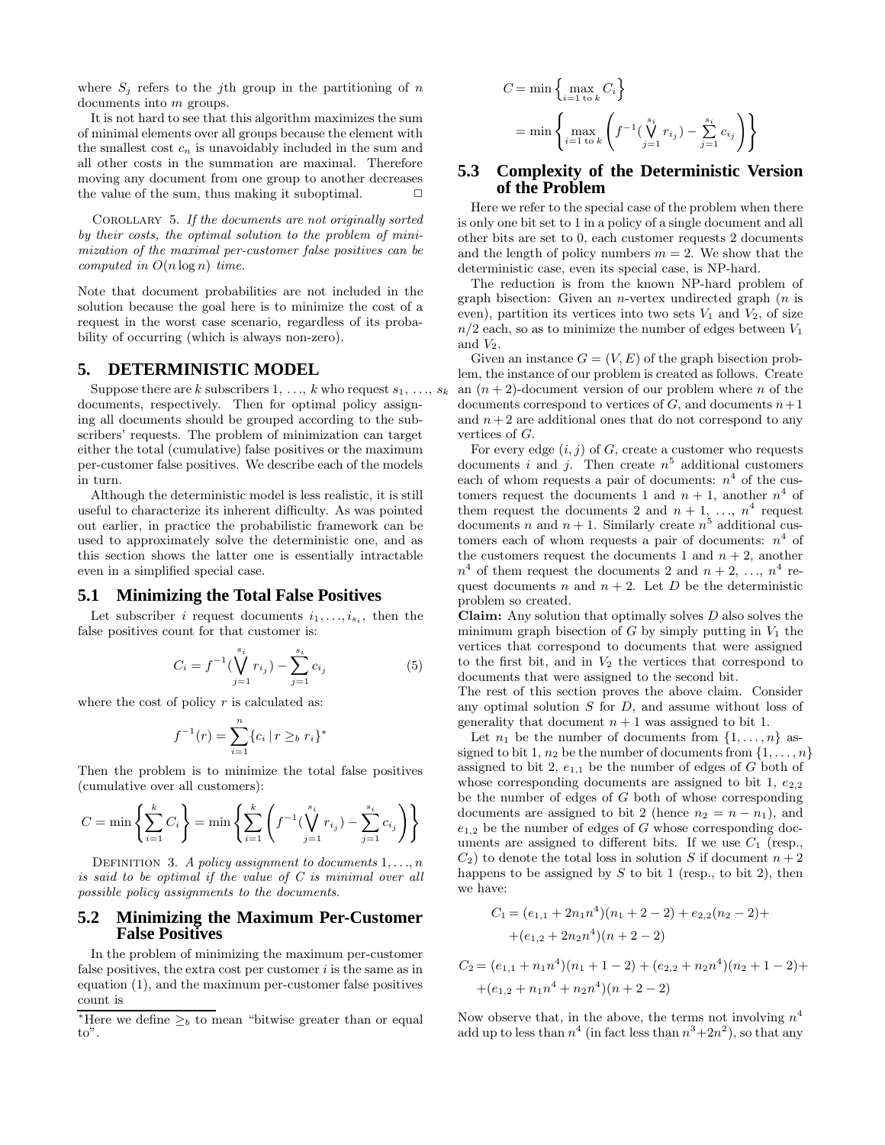where  $S_j$  refers to the j<sup>th</sup> group in the partitioning of n documents into m groups.

It is not hard to see that this algorithm maximizes the sum of minimal elements over all groups because the element with the smallest cost  $c_n$  is unavoidably included in the sum and all other costs in the summation are maximal. Therefore moving any document from one group to another decreases the value of the sum, thus making it suboptimal.  $\Box$ 

COROLLARY 5. If the documents are not originally sorted by their costs, the optimal solution to the problem of minimization of the maximal per-customer false positives can be computed in  $O(n \log n)$  time.

Note that document probabilities are not included in the solution because the goal here is to minimize the cost of a request in the worst case scenario, regardless of its probability of occurring (which is always non-zero).

#### **5. DETERMINISTIC MODEL**

Suppose there are k subscribers 1, ..., k who request  $s_1, \ldots, s_k$ documents, respectively. Then for optimal policy assigning all documents should be grouped according to the subscribers' requests. The problem of minimization can target either the total (cumulative) false positives or the maximum per-customer false positives. We describe each of the models in turn.

Although the deterministic model is less realistic, it is still useful to characterize its inherent difficulty. As was pointed out earlier, in practice the probabilistic framework can be used to approximately solve the deterministic one, and as this section shows the latter one is essentially intractable even in a simplified special case.

## **5.1 Minimizing the Total False Positives**

Let subscriber *i* request documents  $i_1, \ldots, i_{s_i}$ , then the false positives count for that customer is:

$$
C_i = f^{-1}(\bigvee_{j=1}^{s_i} r_{i_j}) - \sum_{j=1}^{s_i} c_{i_j}
$$
 (5)

where the cost of policy  $r$  is calculated as:

$$
f^{-1}(r) = \sum_{i=1}^{n} \{c_i \mid r \geq_b r_i\}^*
$$

Then the problem is to minimize the total false positives (cumulative over all customers):

$$
C = \min \left\{ \sum_{i=1}^{k} C_i \right\} = \min \left\{ \sum_{i=1}^{k} \left( f^{-1} \left( \bigvee_{j=1}^{s_i} r_{i_j} \right) - \sum_{j=1}^{s_i} c_{i_j} \right) \right\}
$$

DEFINITION 3. A policy assignment to documents  $1, \ldots, n$ is said to be optimal if the value of C is minimal over all possible policy assignments to the documents.

#### **5.2 Minimizing the Maximum Per-Customer False Positives**

In the problem of minimizing the maximum per-customer false positives, the extra cost per customer  $i$  is the same as in equation (1), and the maximum per-customer false positives count is

$$
C = \min \left\{ \max_{i=1 \text{ to } k} C_i \right\}
$$
  
= 
$$
\min \left\{ \max_{i=1 \text{ to } k} \left( f^{-1} (\bigvee_{j=1}^{s_i} r_{i_j}) - \sum_{j=1}^{s_i} c_{i_j} \right) \right\}
$$

#### **5.3 Complexity of the Deterministic Version of the Problem**

Here we refer to the special case of the problem when there is only one bit set to 1 in a policy of a single document and all other bits are set to 0, each customer requests 2 documents and the length of policy numbers  $m = 2$ . We show that the deterministic case, even its special case, is NP-hard.

The reduction is from the known NP-hard problem of graph bisection: Given an *n*-vertex undirected graph  $(n$  is even), partition its vertices into two sets  $V_1$  and  $V_2$ , of size  $n/2$  each, so as to minimize the number of edges between  $V_1$ and  $V_2$ .

Given an instance  $G = (V, E)$  of the graph bisection problem, the instance of our problem is created as follows. Create an  $(n + 2)$ -document version of our problem where *n* of the documents correspond to vertices of  $G$ , and documents  $n+1$ and  $n + 2$  are additional ones that do not correspond to any vertices of G.

For every edge  $(i, j)$  of G, create a customer who requests documents i and j. Then create  $n<sup>5</sup>$  additional customers each of whom requests a pair of documents:  $n<sup>4</sup>$  of the customers request the documents 1 and  $n + 1$ , another  $n<sup>4</sup>$  of them request the documents 2 and  $n + 1, \ldots, n^4$  request documents *n* and  $n + 1$ . Similarly create  $n<sup>5</sup>$  additional customers each of whom requests a pair of documents:  $n^4$  of the customers request the documents 1 and  $n + 2$ , another  $n<sup>4</sup>$  of them request the documents 2 and  $n+2, \ldots, n<sup>4</sup>$  request documents n and  $n + 2$ . Let D be the deterministic problem so created.

**Claim:** Any solution that optimally solves  $D$  also solves the minimum graph bisection of  $G$  by simply putting in  $V_1$  the vertices that correspond to documents that were assigned to the first bit, and in  $V_2$  the vertices that correspond to documents that were assigned to the second bit.

The rest of this section proves the above claim. Consider any optimal solution  $S$  for  $D$ , and assume without loss of generality that document  $n + 1$  was assigned to bit 1.

 $c_{i_j}$   $\left.\right\}$   $\left.\right\}$  be the number of edges of G whose corresponding doc-Let  $n_1$  be the number of documents from  $\{1, \ldots, n\}$  assigned to bit 1,  $n_2$  be the number of documents from  $\{1, \ldots, n\}$ assigned to bit 2,  $e_{1,1}$  be the number of edges of G both of whose corresponding documents are assigned to bit 1,  $e_{2,2}$ be the number of edges of G both of whose corresponding documents are assigned to bit 2 (hence  $n_2 = n - n_1$ ), and uments are assigned to different bits. If we use  $C_1$  (resp.,  $C_2$ ) to denote the total loss in solution S if document  $n+2$ happens to be assigned by  $S$  to bit 1 (resp., to bit 2), then we have:

$$
C_1 = (e_{1,1} + 2n_{1}n^{4})(n_{1} + 2 - 2) + e_{2,2}(n_{2} - 2) +
$$
  
+
$$
+ (e_{1,2} + 2n_{2}n^{4})(n + 2 - 2)
$$

$$
C_2 = (e_{1,1} + n_1 n^4)(n_1 + 1 - 2) + (e_{2,2} + n_2 n^4)(n_2 + 1 - 2) +
$$
  
+
$$
+ (e_{1,2} + n_1 n^4 + n_2 n^4)(n_2 + 2 - 2)
$$

Now observe that, in the above, the terms not involving  $n^4$ add up to less than  $n^4$  (in fact less than  $n^3+2n^2$ ), so that any

<sup>\*</sup>Here we define  $\geq_b$  to mean "bitwise greater than or equal to".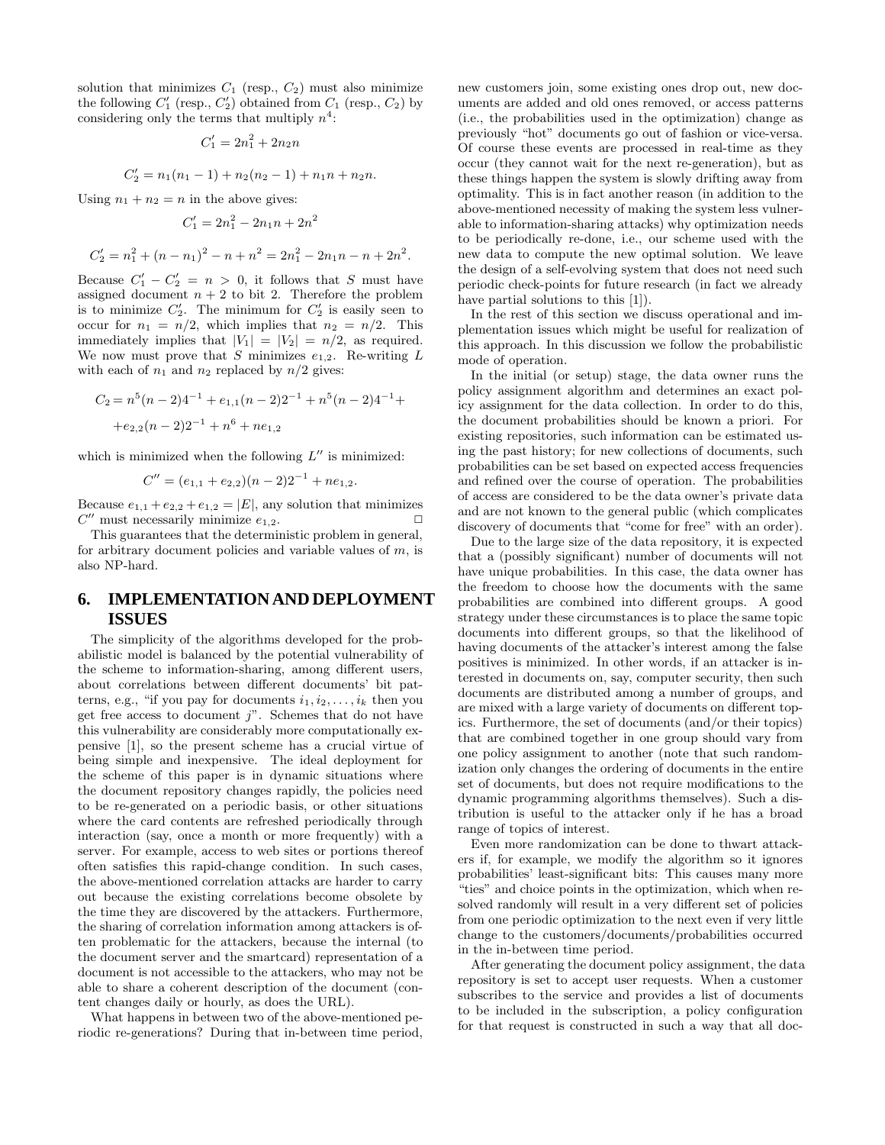solution that minimizes  $C_1$  (resp.,  $C_2$ ) must also minimize the following  $C'_{1}$  (resp.,  $C'_{2}$ ) obtained from  $C_{1}$  (resp.,  $C_{2}$ ) by considering only the terms that multiply  $n^4$ :

$$
C_1' = 2n_1^2 + 2n_2n
$$

$$
C_2' = n_1(n_1 - 1) + n_2(n_2 - 1) + n_1n + n_2n.
$$

Using  $n_1 + n_2 = n$  in the above gives:

$$
C'_1 = 2n_1^2 - 2n_1n + 2n^2
$$
  

$$
C'_2 = n_1^2 + (n - n_1)^2 - n + n^2 = 2n_1^2 - 2n_1n - n + 2n^2.
$$

Because  $C'_1 - C'_2 = n > 0$ , it follows that S must have assigned document  $n + 2$  to bit 2. Therefore the problem is to minimize  $C_2'$ . The minimum for  $C_2'$  is easily seen to occur for  $n_1 = n/2$ , which implies that  $n_2 = n/2$ . This immediately implies that  $|V_1| = |V_2| = n/2$ , as required. We now must prove that S minimizes  $e_{1,2}$ . Re-writing L with each of  $n_1$  and  $n_2$  replaced by  $n/2$  gives:

$$
C_2 = n^5(n-2)4^{-1} + e_{1,1}(n-2)2^{-1} + n^5(n-2)4^{-1} +
$$
  
+
$$
+e_{2,2}(n-2)2^{-1} + n^6 + ne_{1,2}
$$

which is minimized when the following  $L''$  is minimized:

$$
C'' = (e_{1,1} + e_{2,2})(n-2)2^{-1} + ne_{1,2}.
$$

Because  $e_{1,1} + e_{2,2} + e_{1,2} = |E|$ , any solution that minimizes  $C''$  must necessarily minimize  $e_{1,2}$ .

This guarantees that the deterministic problem in general, for arbitrary document policies and variable values of  $m$ , is also NP-hard.

## **6. IMPLEMENTATION AND DEPLOYMENT ISSUES**

The simplicity of the algorithms developed for the probabilistic model is balanced by the potential vulnerability of the scheme to information-sharing, among different users, about correlations between different documents' bit patterns, e.g., "if you pay for documents  $i_1, i_2, \ldots, i_k$  then you get free access to document  $j$ ". Schemes that do not have this vulnerability are considerably more computationally expensive [1], so the present scheme has a crucial virtue of being simple and inexpensive. The ideal deployment for the scheme of this paper is in dynamic situations where the document repository changes rapidly, the policies need to be re-generated on a periodic basis, or other situations where the card contents are refreshed periodically through interaction (say, once a month or more frequently) with a server. For example, access to web sites or portions thereof often satisfies this rapid-change condition. In such cases, the above-mentioned correlation attacks are harder to carry out because the existing correlations become obsolete by the time they are discovered by the attackers. Furthermore, the sharing of correlation information among attackers is often problematic for the attackers, because the internal (to the document server and the smartcard) representation of a document is not accessible to the attackers, who may not be able to share a coherent description of the document (content changes daily or hourly, as does the URL).

What happens in between two of the above-mentioned periodic re-generations? During that in-between time period, new customers join, some existing ones drop out, new documents are added and old ones removed, or access patterns (i.e., the probabilities used in the optimization) change as previously "hot" documents go out of fashion or vice-versa. Of course these events are processed in real-time as they occur (they cannot wait for the next re-generation), but as these things happen the system is slowly drifting away from optimality. This is in fact another reason (in addition to the above-mentioned necessity of making the system less vulnerable to information-sharing attacks) why optimization needs to be periodically re-done, i.e., our scheme used with the new data to compute the new optimal solution. We leave the design of a self-evolving system that does not need such periodic check-points for future research (in fact we already have partial solutions to this [1]).

In the rest of this section we discuss operational and implementation issues which might be useful for realization of this approach. In this discussion we follow the probabilistic mode of operation.

In the initial (or setup) stage, the data owner runs the policy assignment algorithm and determines an exact policy assignment for the data collection. In order to do this, the document probabilities should be known a priori. For existing repositories, such information can be estimated using the past history; for new collections of documents, such probabilities can be set based on expected access frequencies and refined over the course of operation. The probabilities of access are considered to be the data owner's private data and are not known to the general public (which complicates discovery of documents that "come for free" with an order).

Due to the large size of the data repository, it is expected that a (possibly significant) number of documents will not have unique probabilities. In this case, the data owner has the freedom to choose how the documents with the same probabilities are combined into different groups. A good strategy under these circumstances is to place the same topic documents into different groups, so that the likelihood of having documents of the attacker's interest among the false positives is minimized. In other words, if an attacker is interested in documents on, say, computer security, then such documents are distributed among a number of groups, and are mixed with a large variety of documents on different topics. Furthermore, the set of documents (and/or their topics) that are combined together in one group should vary from one policy assignment to another (note that such randomization only changes the ordering of documents in the entire set of documents, but does not require modifications to the dynamic programming algorithms themselves). Such a distribution is useful to the attacker only if he has a broad range of topics of interest.

Even more randomization can be done to thwart attackers if, for example, we modify the algorithm so it ignores probabilities' least-significant bits: This causes many more "ties" and choice points in the optimization, which when resolved randomly will result in a very different set of policies from one periodic optimization to the next even if very little change to the customers/documents/probabilities occurred in the in-between time period.

After generating the document policy assignment, the data repository is set to accept user requests. When a customer subscribes to the service and provides a list of documents to be included in the subscription, a policy configuration for that request is constructed in such a way that all doc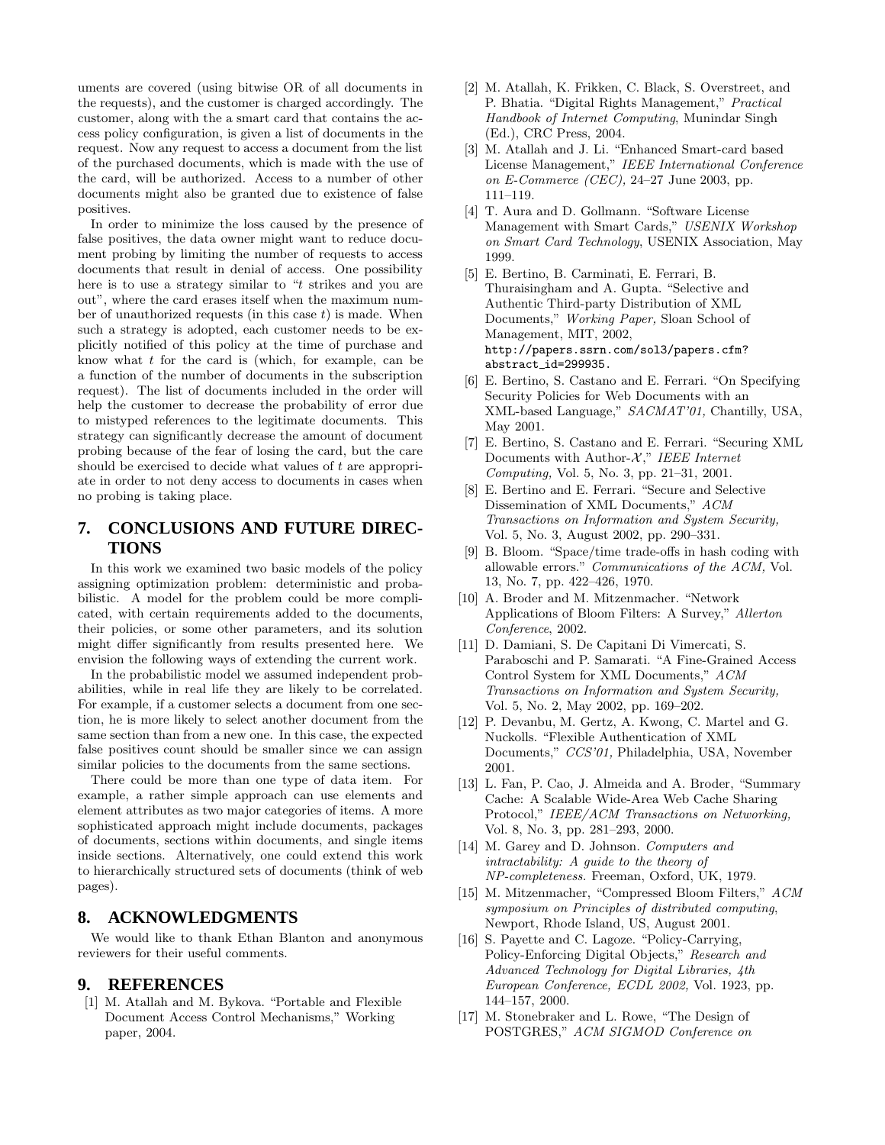uments are covered (using bitwise OR of all documents in the requests), and the customer is charged accordingly. The customer, along with the a smart card that contains the access policy configuration, is given a list of documents in the request. Now any request to access a document from the list of the purchased documents, which is made with the use of the card, will be authorized. Access to a number of other documents might also be granted due to existence of false positives.

In order to minimize the loss caused by the presence of false positives, the data owner might want to reduce document probing by limiting the number of requests to access documents that result in denial of access. One possibility here is to use a strategy similar to "t strikes and you are out", where the card erases itself when the maximum number of unauthorized requests (in this case  $t$ ) is made. When such a strategy is adopted, each customer needs to be explicitly notified of this policy at the time of purchase and know what  $t$  for the card is (which, for example, can be a function of the number of documents in the subscription request). The list of documents included in the order will help the customer to decrease the probability of error due to mistyped references to the legitimate documents. This strategy can significantly decrease the amount of document probing because of the fear of losing the card, but the care should be exercised to decide what values of  $t$  are appropriate in order to not deny access to documents in cases when no probing is taking place.

# **7. CONCLUSIONS AND FUTURE DIREC-TIONS**

In this work we examined two basic models of the policy assigning optimization problem: deterministic and probabilistic. A model for the problem could be more complicated, with certain requirements added to the documents, their policies, or some other parameters, and its solution might differ significantly from results presented here. We envision the following ways of extending the current work.

In the probabilistic model we assumed independent probabilities, while in real life they are likely to be correlated. For example, if a customer selects a document from one section, he is more likely to select another document from the same section than from a new one. In this case, the expected false positives count should be smaller since we can assign similar policies to the documents from the same sections.

There could be more than one type of data item. For example, a rather simple approach can use elements and element attributes as two major categories of items. A more sophisticated approach might include documents, packages of documents, sections within documents, and single items inside sections. Alternatively, one could extend this work to hierarchically structured sets of documents (think of web pages).

# **8. ACKNOWLEDGMENTS**

We would like to thank Ethan Blanton and anonymous reviewers for their useful comments.

## **9. REFERENCES**

[1] M. Atallah and M. Bykova. "Portable and Flexible Document Access Control Mechanisms," Working paper, 2004.

- [2] M. Atallah, K. Frikken, C. Black, S. Overstreet, and P. Bhatia. "Digital Rights Management," Practical Handbook of Internet Computing, Munindar Singh (Ed.), CRC Press, 2004.
- [3] M. Atallah and J. Li. "Enhanced Smart-card based License Management," IEEE International Conference on E-Commerce (CEC), 24–27 June 2003, pp. 111–119.
- [4] T. Aura and D. Gollmann. "Software License Management with Smart Cards," USENIX Workshop on Smart Card Technology, USENIX Association, May 1999.
- [5] E. Bertino, B. Carminati, E. Ferrari, B. Thuraisingham and A. Gupta. "Selective and Authentic Third-party Distribution of XML Documents," Working Paper, Sloan School of Management, MIT, 2002, http://papers.ssrn.com/sol3/papers.cfm? abstract id=299935.
- [6] E. Bertino, S. Castano and E. Ferrari. "On Specifying Security Policies for Web Documents with an XML-based Language," SACMAT'01, Chantilly, USA, May 2001.
- [7] E. Bertino, S. Castano and E. Ferrari. "Securing XML Documents with Author- $\mathcal{X},$ " IEEE Internet Computing, Vol. 5, No. 3, pp. 21–31, 2001.
- [8] E. Bertino and E. Ferrari. "Secure and Selective Dissemination of XML Documents," ACM Transactions on Information and System Security, Vol. 5, No. 3, August 2002, pp. 290–331.
- [9] B. Bloom. "Space/time trade-offs in hash coding with allowable errors." Communications of the ACM, Vol. 13, No. 7, pp. 422–426, 1970.
- [10] A. Broder and M. Mitzenmacher. "Network Applications of Bloom Filters: A Survey," Allerton Conference, 2002.
- [11] D. Damiani, S. De Capitani Di Vimercati, S. Paraboschi and P. Samarati. "A Fine-Grained Access Control System for XML Documents," ACM Transactions on Information and System Security, Vol. 5, No. 2, May 2002, pp. 169–202.
- [12] P. Devanbu, M. Gertz, A. Kwong, C. Martel and G. Nuckolls. "Flexible Authentication of XML Documents," CCS'01, Philadelphia, USA, November 2001.
- [13] L. Fan, P. Cao, J. Almeida and A. Broder, "Summary Cache: A Scalable Wide-Area Web Cache Sharing Protocol," IEEE/ACM Transactions on Networking, Vol. 8, No. 3, pp. 281–293, 2000.
- [14] M. Garey and D. Johnson. Computers and intractability: A guide to the theory of NP-completeness. Freeman, Oxford, UK, 1979.
- [15] M. Mitzenmacher, "Compressed Bloom Filters," ACM symposium on Principles of distributed computing, Newport, Rhode Island, US, August 2001.
- [16] S. Payette and C. Lagoze. "Policy-Carrying, Policy-Enforcing Digital Objects," Research and Advanced Technology for Digital Libraries, 4th European Conference, ECDL 2002, Vol. 1923, pp. 144–157, 2000.
- [17] M. Stonebraker and L. Rowe, "The Design of POSTGRES," ACM SIGMOD Conference on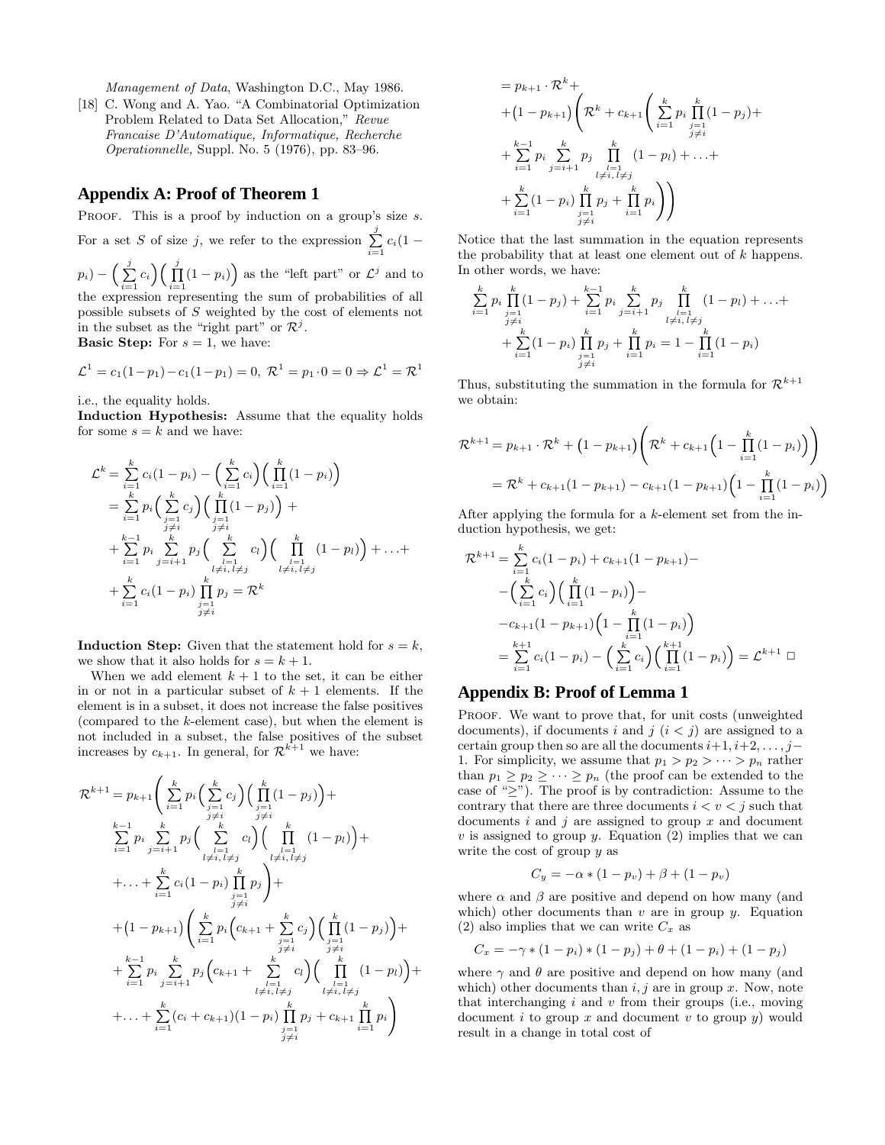Management of Data, Washington D.C., May 1986.

[18] C. Wong and A. Yao. "A Combinatorial Optimization Problem Related to Data Set Allocation," Revue Francaise D'Automatique, Informatique, Recherche Operationnelle, Suppl. No. 5 (1976), pp. 83–96.

## **Appendix A: Proof of Theorem 1**

PROOF. This is a proof by induction on a group's size  $s$ .

For a set S of size j, we refer to the expression  $\sum_{i=1}^{j} c_i (1 - N^2)$  Notice  $\sum_{i=1} c_i (1$  $p_i) - \left(\right. \sum\limits_{}^j\, c_i \right) \left( \left. \prod\limits_{}^j \left( 1-p_i \right) \right) \, \mathrm{a}$  $\sum_{i=1}^{j} c_i \Big) \Big( \prod_{i=1}^{j} (1-p_i) \Big)$  as the  $\prod_{i=1}^{n} (1-p_i)$  as the "left part" or  $\mathcal{L}^j$  and to the expression representing the sum of probabilities of all possible subsets of S weighted by the cost of elements not in the subset as the "right part" or  $\mathcal{R}^j$ .

**Basic Step:** For  $s = 1$ , we have:

$$
\mathcal{L}^1 = c_1(1 - p_1) - c_1(1 - p_1) = 0, \ \mathcal{R}^1 = p_1 \cdot 0 = 0 \Rightarrow \mathcal{L}^1 = \mathcal{R}^1
$$

i.e., the equality holds.

Induction Hypothesis: Assume that the equality holds for some  $s = k$  and we have:

$$
\mathcal{L}^{k} = \sum_{i=1}^{k} c_{i} (1-p_{i}) - \left(\sum_{i=1}^{k} c_{i}\right) \left(\prod_{i=1}^{k} (1-p_{i})\right)
$$
\n
$$
= \sum_{i=1}^{k} p_{i} \left(\sum_{j=1}^{k} c_{j}\right) \left(\prod_{j=1}^{k} (1-p_{j})\right) +
$$
\n
$$
+ \sum_{i=1}^{k-1} p_{i} \sum_{j=i+1}^{k} p_{j} \left(\sum_{\substack{l=1 \ l \neq i, l \neq j}}^{k} c_{l}\right) \left(\prod_{\substack{l=1 \ l \neq i, l \neq j}}^{k} (1-p_{l})\right) + \ldots +
$$
\n
$$
+ \sum_{i=1}^{k} c_{i} (1-p_{i}) \prod_{\substack{j=1 \ j \neq i}}^{k} p_{j} = \mathcal{R}^{k}
$$

**Induction Step:** Given that the statement hold for  $s = k$ , we show that it also holds for  $s = k + 1$ .

When we add element  $k + 1$  to the set, it can be either in or not in a particular subset of  $k + 1$  elements. If the element is in a subset, it does not increase the false positives (compared to the k-element case), but when the element is not included in a subset, the false positives of the subset increases by  $c_{k+1}$ . In general, for  $\mathcal{R}^{k+1}$  we have:

$$
\mathcal{R}^{k+1} = p_{k+1} \left( \sum_{i=1}^{k} p_i \left( \sum_{\substack{j=1 \ j \neq i}}^{k} c_j \right) \left( \prod_{\substack{j=1 \ j \neq i}}^{k} (1 - p_j) \right) + \sum_{\substack{j=1 \ j \neq i}}^{k-1} p_j \left( \sum_{\substack{j=1 \ j \neq i, l \neq j}}^{k} c_l \right) \left( \prod_{\substack{l=1 \ l \neq i, l \neq j}}^{k} (1 - p_l) \right) + \sum_{\substack{l=1 \ j \neq i}}^{k} c_i (1 - p_i) \prod_{\substack{j=1 \ j \neq i}}^{k} p_j \right) + \sum_{\substack{j=1 \ j \neq i}}^{k} c_i (1 - p_i) \left( \sum_{\substack{j=1 \ j \neq i}}^{k} p_i \left( c_{k+1} + \sum_{\substack{j=1 \ j \neq i}}^{k} c_j \right) \left( \prod_{\substack{j=1 \ j \neq i}}^{k} (1 - p_j) \right) + \sum_{\substack{j=1 \ j \neq i}}^{k-1} p_i \sum_{\substack{j=1 \ j \neq i}}^{k} p_j \left( c_{k+1} + \sum_{\substack{l=1 \ l \neq i, l \neq j}}^{k} c_l \right) \left( \prod_{\substack{l=1 \ l \neq i, l \neq j}}^{k} (1 - p_l) \right) + \sum_{\substack{l=1 \ j \neq i}}^{k} p_i \sum_{\substack{j=1 \ j \neq i}}^{k} p_j \left( c_{k+1} + \sum_{\substack{l=1 \ j \neq i}}^{k} c_l \right) \left( \prod_{\substack{l=1 \ j \neq i}}^{k} (1 - p_l) \right) + \sum_{\substack{i=1 \ j \neq i}}^{k} c_i (c_i + c_{k+1}) (1 - p_i) \prod_{\substack{j=1 \ j \neq i}}^{k} p_j + c_{k+1} \prod_{i=1}^{k} p_i \right)
$$

$$
= p_{k+1} \cdot \mathcal{R}^{k} +
$$
  
+  $(1 - p_{k+1}) \left( \mathcal{R}^{k} + c_{k+1} \left( \sum_{i=1}^{k} p_{i} \prod_{\substack{j=1 \ j \neq i}}^{k} (1 - p_{j}) + \right. \\ + \sum_{i=1}^{k-1} p_{i} \sum_{\substack{j=1 \ j \neq i}}^{k} p_{j} \prod_{\substack{l=1 \ l \neq i, l \neq j}}^{k} (1 - p_{l}) + \ldots +$   
+  $\sum_{i=1}^{k} (1 - p_{i}) \prod_{\substack{j=1 \ j \neq i}}^{k} p_{j} + \prod_{i=1}^{k} p_{i} \right)$ 

Notice that the last summation in the equation represents the probability that at least one element out of  $k$  happens. In other words, we have:

$$
\sum_{i=1}^{k} p_i \prod_{\substack{j=1 \ j \neq i}}^{k} (1-p_j) + \sum_{i=1}^{k-1} p_i \sum_{\substack{j=i+1 \ j \neq i}}^{k} p_j \prod_{\substack{l=1 \ l \neq i, l \neq j}}^{k} (1-p_l) + \ldots + \sum_{\substack{j=1 \ j \neq i}}^{k} (1-p_j) \prod_{\substack{j=1 \ j \neq i}}^{k} p_j + \prod_{i=1}^{k} p_i = 1 - \prod_{i=1}^{k} (1-p_i)
$$

Thus, substituting the summation in the formula for  $\mathcal{R}^{k+1}$ we obtain:

$$
\mathcal{R}^{k+1} = p_{k+1} \cdot \mathcal{R}^k + (1 - p_{k+1}) \left( \mathcal{R}^k + c_{k+1} \left( 1 - \prod_{i=1}^k (1 - p_i) \right) \right)
$$
  
=  $\mathcal{R}^k + c_{k+1} (1 - p_{k+1}) - c_{k+1} (1 - p_{k+1}) \left( 1 - \prod_{i=1}^k (1 - p_i) \right)$ 

After applying the formula for a k-element set from the induction hypothesis, we get:

$$
\mathcal{R}^{k+1} = \sum_{i=1}^{k} c_i (1 - p_i) + c_{k+1} (1 - p_{k+1}) -
$$
  

$$
- \left( \sum_{i=1}^{k} c_i \right) \left( \prod_{i=1}^{k} (1 - p_i) \right) -
$$
  

$$
-c_{k+1} (1 - p_{k+1}) \left( 1 - \prod_{i=1}^{k} (1 - p_i) \right)
$$
  

$$
= \sum_{i=1}^{k+1} c_i (1 - p_i) - \left( \sum_{i=1}^{k} c_i \right) \left( \prod_{i=1}^{k+1} (1 - p_i) \right) = \mathcal{L}^{k+1} \square
$$

## **Appendix B: Proof of Lemma 1**

PROOF. We want to prove that, for unit costs (unweighted documents), if documents i and j  $(i < j)$  are assigned to a certain group then so are all the documents  $i+1, i+2, \ldots, j-$ 1. For simplicity, we assume that  $p_1 > p_2 > \cdots > p_n$  rather than  $p_1 \geq p_2 \geq \cdots \geq p_n$  (the proof can be extended to the case of "≥"). The proof is by contradiction: Assume to the contrary that there are three documents  $i < v < j$  such that documents  $i$  and  $j$  are assigned to group  $x$  and document  $v$  is assigned to group  $y$ . Equation (2) implies that we can write the cost of group  $y$  as

$$
C_y = -\alpha * (1 - p_v) + \beta + (1 - p_v)
$$

where  $\alpha$  and  $\beta$  are positive and depend on how many (and which) other documents than  $v$  are in group  $y$ . Equation (2) also implies that we can write  $C_x$  as

$$
C_x = -\gamma * (1 - p_i) * (1 - p_j) + \theta + (1 - p_i) + (1 - p_j)
$$

where  $\gamma$  and  $\theta$  are positive and depend on how many (and which) other documents than  $i, j$  are in group x. Now, note that interchanging  $i$  and  $v$  from their groups (i.e., moving document i to group x and document v to group y) would result in a change in total cost of